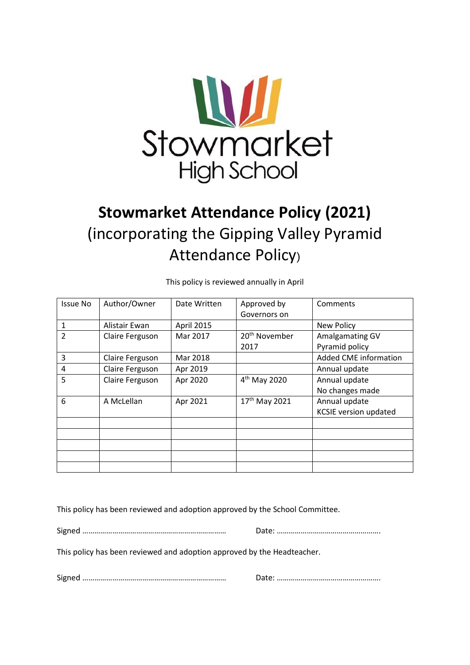

# **Stowmarket Attendance Policy (2021)** (incorporating the Gipping Valley Pyramid Attendance Policy)

Issue No  $\vert$  Author/Owner  $\vert$  Date Written  $\vert$  Approved by Governors on Comments 1 Alistair Ewan April 2015 | New Policy 2 Claire Ferguson | Mar 2017 | 20<sup>th</sup> November 2017 Amalgamating GV Pyramid policy 3 Claire Ferguson | Mar 2018 | No. 2018 | Added CME information 4 Claire Ferguson Apr 2019 Annual update 5  $\vert$  Claire Ferguson  $\vert$  Apr 2020  $\vert$  4<sup>th</sup> May 2020 Annual update No changes made  $\begin{array}{|c|c|c|c|}\n6 & \text{A McLellan} & \text{Apr } 2021 & \text{17}^{\text{th}} \text{ May } 2021 \\
\end{array}$ Annual update KCSIE version updated

This policy is reviewed annually in April

This policy has been reviewed and adoption approved by the School Committee.

Signed ……………………………………………………………… Date: …………………………………………….

This policy has been reviewed and adoption approved by the Headteacher.

Signed ……………………………………………………………… Date: …………………………………………….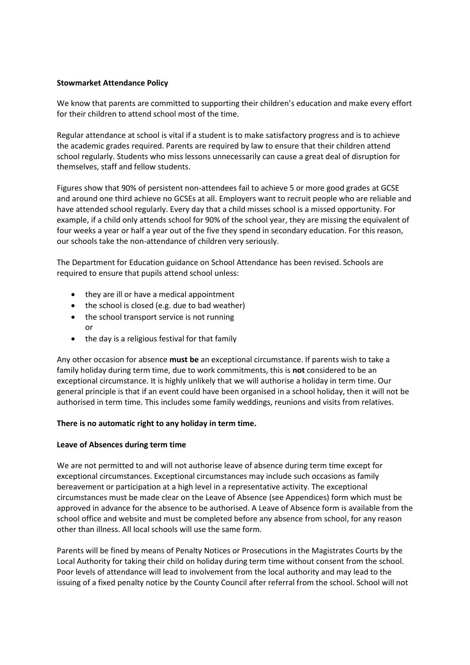## **Stowmarket Attendance Policy**

We know that parents are committed to supporting their children's education and make every effort for their children to attend school most of the time.

Regular attendance at school is vital if a student is to make satisfactory progress and is to achieve the academic grades required. Parents are required by law to ensure that their children attend school regularly. Students who miss lessons unnecessarily can cause a great deal of disruption for themselves, staff and fellow students.

Figures show that 90% of persistent non-attendees fail to achieve 5 or more good grades at GCSE and around one third achieve no GCSEs at all. Employers want to recruit people who are reliable and have attended school regularly. Every day that a child misses school is a missed opportunity. For example, if a child only attends school for 90% of the school year, they are missing the equivalent of four weeks a year or half a year out of the five they spend in secondary education. For this reason, our schools take the non-attendance of children very seriously.

The Department for Education guidance on School Attendance has been revised. Schools are required to ensure that pupils attend school unless:

- they are ill or have a medical appointment
- the school is closed (e.g. due to bad weather)
- the school transport service is not running or
- the day is a religious festival for that family

Any other occasion for absence **must be** an exceptional circumstance. If parents wish to take a family holiday during term time, due to work commitments, this is **not** considered to be an exceptional circumstance. It is highly unlikely that we will authorise a holiday in term time. Our general principle is that if an event could have been organised in a school holiday, then it will not be authorised in term time. This includes some family weddings, reunions and visits from relatives.

## **There is no automatic right to any holiday in term time.**

## **Leave of Absences during term time**

We are not permitted to and will not authorise leave of absence during term time except for exceptional circumstances. Exceptional circumstances may include such occasions as family bereavement or participation at a high level in a representative activity. The exceptional circumstances must be made clear on the Leave of Absence (see Appendices) form which must be approved in advance for the absence to be authorised. A Leave of Absence form is available from the school office and website and must be completed before any absence from school, for any reason other than illness. All local schools will use the same form.

Parents will be fined by means of Penalty Notices or Prosecutions in the Magistrates Courts by the Local Authority for taking their child on holiday during term time without consent from the school. Poor levels of attendance will lead to involvement from the local authority and may lead to the issuing of a fixed penalty notice by the County Council after referral from the school. School will not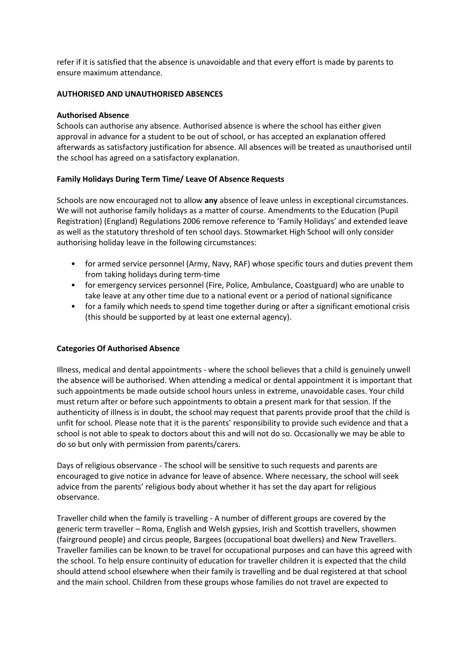refer if it is satisfied that the absence is unavoidable and that every effort is made by parents to ensure maximum attendance.

## **AUTHORISED AND UNAUTHORISED ABSENCES**

## **Authorised Absence**

Schools can authorise any absence. Authorised absence is where the school has either given approval in advance for a student to be out of school, or has accepted an explanation offered afterwards as satisfactory justification for absence. All absences will be treated as unauthorised until the school has agreed on a satisfactory explanation.

## **Family Holidays During Term Time/ Leave Of Absence Requests**

Schools are now encouraged not to allow **any** absence of leave unless in exceptional circumstances. We will not authorise family holidays as a matter of course. Amendments to the Education (Pupil Registration) (England) Regulations 2006 remove reference to 'Family Holidays' and extended leave as well as the statutory threshold of ten school days. Stowmarket High School will only consider authorising holiday leave in the following circumstances:

- for armed service personnel (Army, Navy, RAF) whose specific tours and duties prevent them from taking holidays during term-time
- for emergency services personnel (Fire, Police, Ambulance, Coastguard) who are unable to take leave at any other time due to a national event or a period of national significance
- for a family which needs to spend time together during or after a significant emotional crisis (this should be supported by at least one external agency).

## **Categories Of Authorised Absence**

Illness, medical and dental appointments - where the school believes that a child is genuinely unwell the absence will be authorised. When attending a medical or dental appointment it is important that such appointments be made outside school hours unless in extreme, unavoidable cases. Your child must return after or before such appointments to obtain a present mark for that session. If the authenticity of illness is in doubt, the school may request that parents provide proof that the child is unfit for school. Please note that it is the parents' responsibility to provide such evidence and that a school is not able to speak to doctors about this and will not do so. Occasionally we may be able to do so but only with permission from parents/carers.

Days of religious observance - The school will be sensitive to such requests and parents are encouraged to give notice in advance for leave of absence. Where necessary, the school will seek advice from the parents' religious body about whether it has set the day apart for religious observance.

Traveller child when the family is travelling - A number of different groups are covered by the generic term traveller – Roma, English and Welsh gypsies, Irish and Scottish travellers, showmen (fairground people) and circus people, Bargees (occupational boat dwellers) and New Travellers. Traveller families can be known to be travel for occupational purposes and can have this agreed with the school. To help ensure continuity of education for traveller children it is expected that the child should attend school elsewhere when their family is travelling and be dual registered at that school and the main school. Children from these groups whose families do not travel are expected to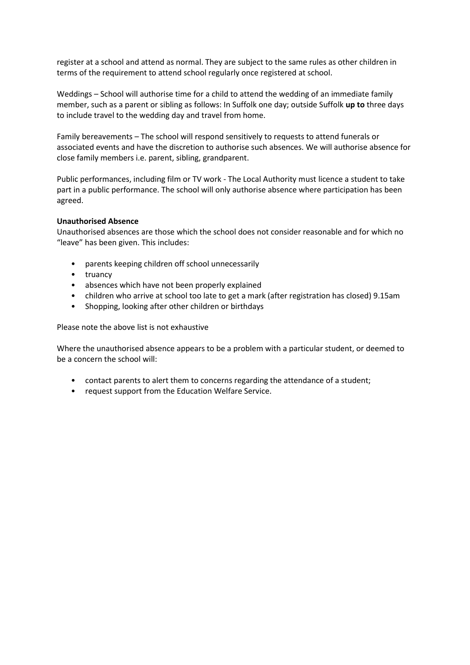register at a school and attend as normal. They are subject to the same rules as other children in terms of the requirement to attend school regularly once registered at school.

Weddings – School will authorise time for a child to attend the wedding of an immediate family member, such as a parent or sibling as follows: In Suffolk one day; outside Suffolk **up to** three days to include travel to the wedding day and travel from home.

Family bereavements – The school will respond sensitively to requests to attend funerals or associated events and have the discretion to authorise such absences. We will authorise absence for close family members i.e. parent, sibling, grandparent.

Public performances, including film or TV work - The Local Authority must licence a student to take part in a public performance. The school will only authorise absence where participation has been agreed.

#### **Unauthorised Absence**

Unauthorised absences are those which the school does not consider reasonable and for which no "leave" has been given. This includes:

- parents keeping children off school unnecessarily
- truancy
- absences which have not been properly explained
- children who arrive at school too late to get a mark (after registration has closed) 9.15am
- Shopping, looking after other children or birthdays

Please note the above list is not exhaustive

Where the unauthorised absence appears to be a problem with a particular student, or deemed to be a concern the school will:

- contact parents to alert them to concerns regarding the attendance of a student;
- request support from the Education Welfare Service.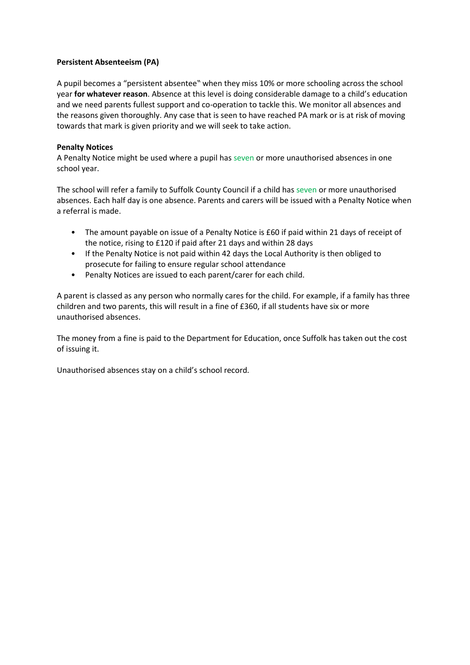## **Persistent Absenteeism (PA)**

A pupil becomes a "persistent absentee" when they miss 10% or more schooling across the school year **for whatever reason**. Absence at this level is doing considerable damage to a child's education and we need parents fullest support and co-operation to tackle this. We monitor all absences and the reasons given thoroughly. Any case that is seen to have reached PA mark or is at risk of moving towards that mark is given priority and we will seek to take action.

## **Penalty Notices**

A Penalty Notice might be used where a pupil has seven or more unauthorised absences in one school year.

The school will refer a family to Suffolk County Council if a child has seven or more unauthorised absences. Each half day is one absence. Parents and carers will be issued with a Penalty Notice when a referral is made.

- The amount payable on issue of a Penalty Notice is £60 if paid within 21 days of receipt of the notice, rising to £120 if paid after 21 days and within 28 days
- If the Penalty Notice is not paid within 42 days the Local Authority is then obliged to prosecute for failing to ensure regular school attendance
- Penalty Notices are issued to each parent/carer for each child.

A parent is classed as any person who normally cares for the child. For example, if a family has three children and two parents, this will result in a fine of £360, if all students have six or more unauthorised absences.

The money from a fine is paid to the Department for Education, once Suffolk has taken out the cost of issuing it.

Unauthorised absences stay on a child's school record.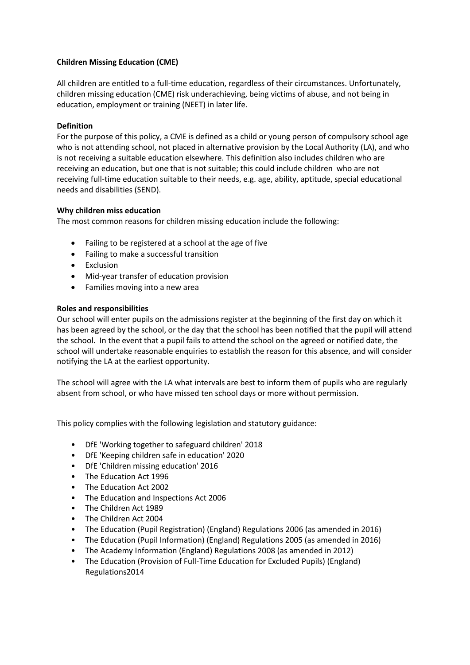## **Children Missing Education (CME)**

All children are entitled to a full-time education, regardless of their circumstances. Unfortunately, children missing education (CME) risk underachieving, being victims of abuse, and not being in education, employment or training (NEET) in later life.

## **Definition**

For the purpose of this policy, a CME is defined as a child or young person of compulsory school age who is not attending school, not placed in alternative provision by the Local Authority (LA), and who is not receiving a suitable education elsewhere. This definition also includes children who are receiving an education, but one that is not suitable; this could include children who are not receiving full-time education suitable to their needs, e.g. age, ability, aptitude, special educational needs and disabilities (SEND).

## **Why children miss education**

The most common reasons for children missing education include the following:

- Failing to be registered at a school at the age of five
- Failing to make a successful transition
- Exclusion
- Mid-year transfer of education provision
- Families moving into a new area

## **Roles and responsibilities**

Our school will enter pupils on the admissions register at the beginning of the first day on which it has been agreed by the school, or the day that the school has been notified that the pupil will attend the school. In the event that a pupil fails to attend the school on the agreed or notified date, the school will undertake reasonable enquiries to establish the reason for this absence, and will consider notifying the LA at the earliest opportunity.

The school will agree with the LA what intervals are best to inform them of pupils who are regularly absent from school, or who have missed ten school days or more without permission.

This policy complies with the following legislation and statutory guidance:

- DfE 'Working together to safeguard children' 2018
- DfE 'Keeping children safe in education' 2020
- DfE 'Children missing education' 2016
- The Education Act 1996
- The Education Act 2002
- The Education and Inspections Act 2006
- The Children Act 1989
- The Children Act 2004
- The Education (Pupil Registration) (England) Regulations 2006 (as amended in 2016)
- The Education (Pupil Information) (England) Regulations 2005 (as amended in 2016)
- The Academy Information (England) Regulations 2008 (as amended in 2012)
- The Education (Provision of Full-Time Education for Excluded Pupils) (England) Regulations2014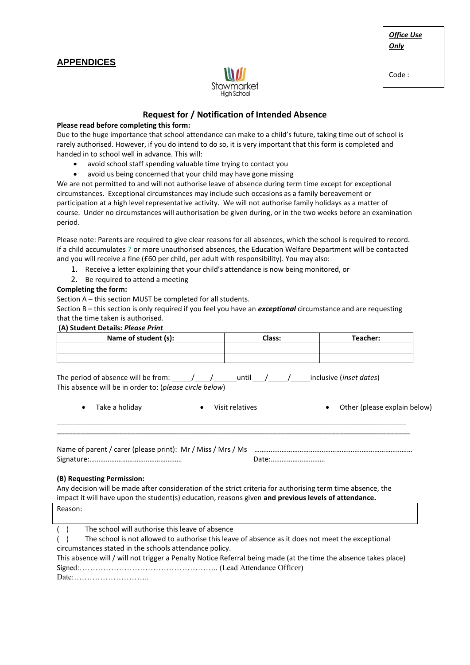## **APPENDICES**



## *Office Use Only*

Code :

## **Request for / Notification of Intended Absence**

#### **Please read before completing this form:**

Due to the huge importance that school attendance can make to a child's future, taking time out of school is rarely authorised. However, if you do intend to do so, it is very important that this form is completed and handed in to school well in advance. This will:

- avoid school staff spending valuable time trying to contact you
- avoid us being concerned that your child may have gone missing

We are not permitted to and will not authorise leave of absence during term time except for exceptional circumstances. Exceptional circumstances may include such occasions as a family bereavement or participation at a high level representative activity. We will not authorise family holidays as a matter of course. Under no circumstances will authorisation be given during, or in the two weeks before an examination period.

Please note: Parents are required to give clear reasons for all absences, which the school is required to record. If a child accumulates 7 or more unauthorised absences, the Education Welfare Department will be contacted and you will receive a fine (£60 per child, per adult with responsibility). You may also:

- 1. Receive a letter explaining that your child's attendance is now being monitored, or
- 2. Be required to attend a meeting

#### **Completing the form:**

Section A – this section MUST be completed for all students.

Section B – this section is only required if you feel you have an *exceptional* circumstance and are requesting that the time taken is authorised.

#### **(A) Student Details:** *Please Print*

| Name of student (s): | <b>Class:</b> | Teacher: |
|----------------------|---------------|----------|
|                      |               |          |
|                      |               |          |

\_\_\_\_\_\_\_\_\_\_\_\_\_\_\_\_\_\_\_\_\_\_\_\_\_\_\_\_\_\_\_\_\_\_\_\_\_\_\_\_\_\_\_\_\_\_\_\_\_\_\_\_\_\_\_\_\_\_\_\_\_\_\_\_\_\_\_\_\_\_\_\_\_\_\_\_\_\_\_\_\_\_\_\_\_\_\_\_\_ \_\_\_\_\_\_\_\_\_\_\_\_\_\_\_\_\_\_\_\_\_\_\_\_\_\_\_\_\_\_\_\_\_\_\_\_\_\_\_\_\_\_\_\_\_\_\_\_\_\_\_\_\_\_\_\_\_\_\_\_\_\_\_\_\_\_\_\_\_\_\_\_\_\_\_\_\_\_\_\_\_\_\_\_\_\_\_\_\_\_

The period of absence will be from: \_\_\_\_\_/\_\_\_\_/\_\_\_\_\_\_until \_\_\_/\_\_\_\_\_/\_\_\_\_\_inclusive (*inset dates*) This absence will be in order to: (*please circle below*)

| Take a holiday | • Visit relatives | Other (please explain below) |
|----------------|-------------------|------------------------------|
|                |                   |                              |

Name of parent / carer (please print): Mr / Miss / Mrs / Ms ……………………………………………………………………… Signature:…………………………………………… Date:…………………………

#### **(B) Requesting Permission:**

Any decision will be made after consideration of the strict criteria for authorising term time absence, the impact it will have upon the student(s) education, reasons given **and previous levels of attendance.**

Reason:

- ( ) The school will authorise this leave of absence
- ( ) The school is not allowed to authorise this leave of absence as it does not meet the exceptional circumstances stated in the schools attendance policy.

This absence will / will not trigger a Penalty Notice Referral being made (at the time the absence takes place) Signed:…………………………………………….. (Lead Attendance Officer)

Date:………………………..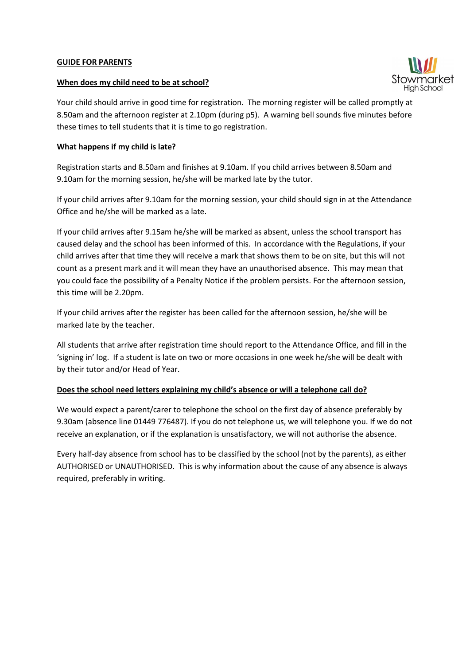## **GUIDE FOR PARENTS**

## **When does my child need to be at school?**

Your child should arrive in good time for registration. The morning register will be called promptly at 8.50am and the afternoon register at 2.10pm (during p5). A warning bell sounds five minutes before these times to tell students that it is time to go registration.

## **What happens if my child is late?**

Registration starts and 8.50am and finishes at 9.10am. If you child arrives between 8.50am and 9.10am for the morning session, he/she will be marked late by the tutor.

If your child arrives after 9.10am for the morning session, your child should sign in at the Attendance Office and he/she will be marked as a late.

If your child arrives after 9.15am he/she will be marked as absent, unless the school transport has caused delay and the school has been informed of this. In accordance with the Regulations, if your child arrives after that time they will receive a mark that shows them to be on site, but this will not count as a present mark and it will mean they have an unauthorised absence. This may mean that you could face the possibility of a Penalty Notice if the problem persists. For the afternoon session, this time will be 2.20pm.

If your child arrives after the register has been called for the afternoon session, he/she will be marked late by the teacher.

All students that arrive after registration time should report to the Attendance Office, and fill in the 'signing in' log. If a student is late on two or more occasions in one week he/she will be dealt with by their tutor and/or Head of Year.

## **Does the school need letters explaining my child's absence or will a telephone call do?**

We would expect a parent/carer to telephone the school on the first day of absence preferably by 9.30am (absence line 01449 776487). If you do not telephone us, we will telephone you. If we do not receive an explanation, or if the explanation is unsatisfactory, we will not authorise the absence.

Every half-day absence from school has to be classified by the school (not by the parents), as either AUTHORISED or UNAUTHORISED. This is why information about the cause of any absence is always required, preferably in writing.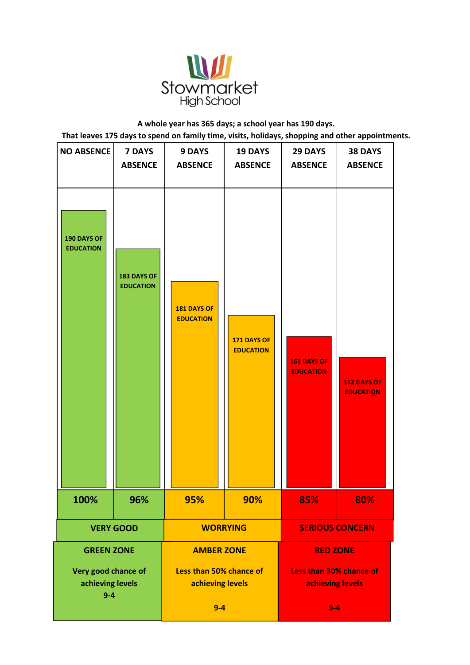

**A whole year has 365 days; a school year has 190 days. That leaves 175 days to spend on family time, visits, holidays, shopping and other appointments.**

| <b>NO ABSENCE</b>                                  | <b>7 DAYS</b><br><b>ABSENCE</b> | <b>9 DAYS</b><br><b>ABSENCE</b>             | <b>19 DAYS</b><br><b>ABSENCE</b> | .<br><b>29 DAYS</b><br><b>ABSENCE</b>                  | . .<br><b>38 DAYS</b><br><b>ABSENCE</b> |
|----------------------------------------------------|---------------------------------|---------------------------------------------|----------------------------------|--------------------------------------------------------|-----------------------------------------|
| 190 DAYS OF<br><b>EDUCATION</b>                    | 183 DAYS OF<br><b>EDUCATION</b> | <b>181 DAYS OF</b><br><b>EDUCATION</b>      | 171 DAYS OF<br><b>EDUCATION</b>  | <b>161 DAYS OF</b><br><b>EDUCATION</b>                 | 152 DAYS OF<br><b>EDUCATION</b>         |
| 100%                                               | 96%                             | 95%                                         | 90%                              | 85%                                                    | 80%                                     |
| <b>VERY GOOD</b>                                   |                                 | <b>WORRYING</b>                             |                                  | <b>SERIOUS CONCERN</b>                                 |                                         |
| <b>GREEN ZONE</b>                                  |                                 | <b>AMBER ZONE</b>                           |                                  | <b>RED ZONE</b>                                        |                                         |
| Very good chance of<br>achieving levels<br>$9 - 4$ |                                 | Less than 50% chance of<br>achieving levels |                                  | Less than 30% chance of<br>achieving levels<br>$9 - 4$ |                                         |
|                                                    |                                 | $9-4$                                       |                                  |                                                        |                                         |